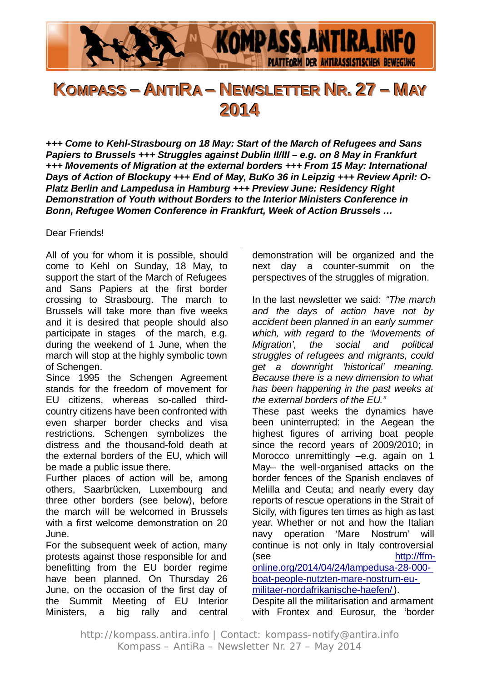

# KOMPASS – ANTIRA – NEWSLETTER NR. 27 – MAY **2014**

*+++ Come to Kehl-Strasbourg on 18 May: Start of the March of Refugees and Sans Papiers to Brussels +++ Struggles against Dublin II/III – e.g. on 8 May in Frankfurt +++ Movements of Migration at the external borders +++ From 15 May: International Days of Action of Blockupy +++ End of May, BuKo 36 in Leipzig +++ Review April: O-Platz Berlin and Lampedusa in Hamburg +++ Preview June: Residency Right Demonstration of Youth without Borders to the Interior Ministers Conference in Bonn, Refugee Women Conference in Frankfurt, Week of Action Brussels …*

Dear Friends!

All of you for whom it is possible, should come to Kehl on Sunday, 18 May, to support the start of the March of Refugees and Sans Papiers at the first border crossing to Strasbourg. The march to Brussels will take more than five weeks and it is desired that people should also participate in stages of the march, e.g. during the weekend of 1 June, when the march will stop at the highly symbolic town of Schengen.

Since 1995 the Schengen Agreement stands for the freedom of movement for EU citizens, whereas so-called thirdcountry citizens have been confronted with even sharper border checks and visa restrictions. Schengen symbolizes the distress and the thousand-fold death at the external borders of the EU, which will be made a public issue there.

Further places of action will be, among others, Saarbrücken, Luxembourg and three other borders (see below), before the march will be welcomed in Brussels with a first welcome demonstration on 20 June.

For the subsequent week of action, many protests against those responsible for and benefitting from the EU border regime have been planned. On Thursday 26 June, on the occasion of the first day of the Summit Meeting of EU Interior Ministers, a big rally and central

demonstration will be organized and the next day a counter-summit on the perspectives of the struggles of migration.

In the last newsletter we said: *"The march and the days of action have not by accident been planned in an early summer which, with regard to the 'Movements of Migration', the social and political struggles of refugees and migrants, could get a downright 'historical' meaning. Because there is a new dimension to what has been happening in the past weeks at the external borders of the EU."*

These past weeks the dynamics have been uninterrupted: in the Aegean the highest figures of arriving boat people since the record years of 2009/2010; in Morocco unremittingly –e.g. again on 1 May– the well-organised attacks on the border fences of the Spanish enclaves of Melilla and Ceuta; and nearly every day reports of rescue operations in the Strait of Sicily, with figures ten times as high as last year. Whether or not and how the Italian navy operation 'Mare Nostrum' will continue is not only in Italy controversial (see http://ffmonline.org/2014/04/24/lampedusa-28-000 boat-people-nutzten-mare-nostrum-eumilitaer-nordafrikanische-haefen/).

Despite all the militarisation and armament with Frontex and Eurosur, the 'border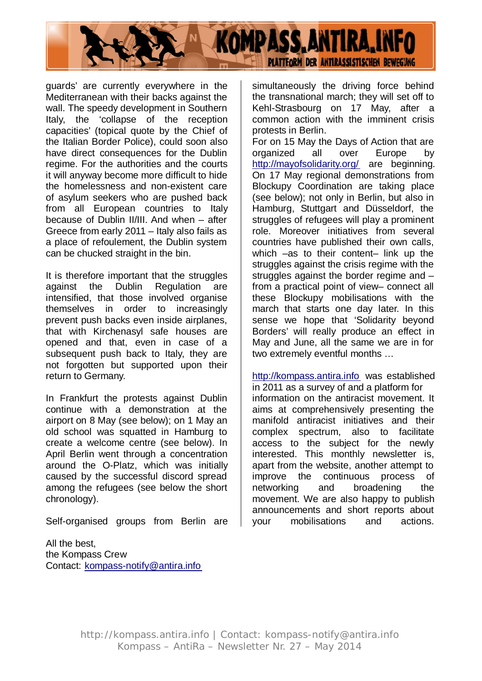

guards' are currently everywhere in the Mediterranean with their backs against the wall. The speedy development in Southern Italy, the 'collapse of the reception capacities' (topical quote by the Chief of the Italian Border Police), could soon also have direct consequences for the Dublin regime. For the authorities and the courts it will anyway become more difficult to hide the homelessness and non-existent care of asylum seekers who are pushed back from all European countries to Italy because of Dublin II/III. And when – after Greece from early 2011 – Italy also fails as a place of refoulement, the Dublin system can be chucked straight in the bin.

It is therefore important that the struggles against the Dublin Regulation are intensified, that those involved organise themselves in order to increasingly prevent push backs even inside airplanes, that with Kirchenasyl safe houses are opened and that, even in case of a subsequent push back to Italy, they are not forgotten but supported upon their return to Germany.

In Frankfurt the protests against Dublin continue with a demonstration at the airport on 8 May (see below); on 1 May an old school was squatted in Hamburg to create a welcome centre (see below). In April Berlin went through a concentration around the O-Platz, which was initially caused by the successful discord spread among the refugees (see below the short chronology).

Self-organised groups from Berlin are

All the best, the Kompass Crew Contact: kompass-notify@antira.info simultaneously the driving force behind the transnational march; they will set off to Kehl-Strasbourg on 17 May, after a common action with the imminent crisis protests in Berlin.

For on 15 May the Days of Action that are organized all over Europe by http://mayofsolidarity.org/ are beginning. On 17 May regional demonstrations from Blockupy Coordination are taking place (see below); not only in Berlin, but also in Hamburg, Stuttgart and Düsseldorf, the struggles of refugees will play a prominent role. Moreover initiatives from several countries have published their own calls, which –as to their content– link up the struggles against the crisis regime with the struggles against the border regime and – from a practical point of view– connect all these Blockupy mobilisations with the march that starts one day later. In this sense we hope that 'Solidarity beyond Borders' will really produce an effect in May and June, all the same we are in for two extremely eventful months …

http://kompass.antira.info was established in 2011 as a survey of and a platform for information on the antiracist movement. It aims at comprehensively presenting the manifold antiracist initiatives and their complex spectrum, also to facilitate access to the subject for the newly interested. This monthly newsletter is, apart from the website, another attempt to improve the continuous process of networking and broadening the movement. We are also happy to publish announcements and short reports about your mobilisations and actions.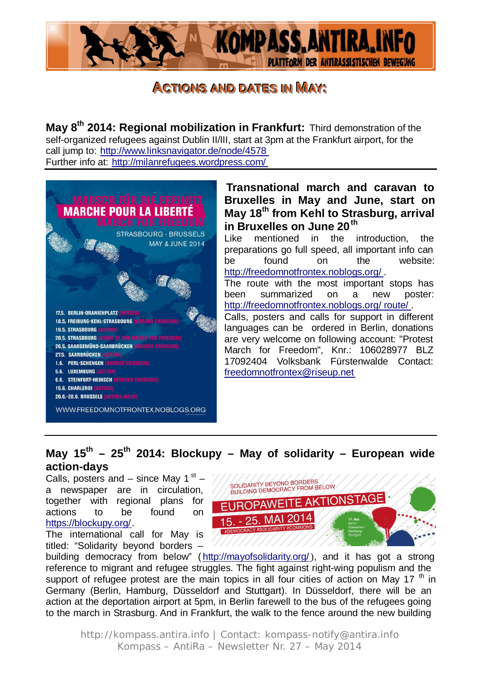

# **ACTIONS AND DATES IN MAY:**

**May 8th 2014: Regional mobilization in Frankfurt:** Third demonstration of the self-organized refugees against Dublin II/III, start at 3pm at the Frankfurt airport, for the call jump to: http://www.linksnavigator.de/node/4578 Further info at: http://milanrefugees.wordpress.com/



#### **Transnational march and caravan to Bruxelles in May and June, start on May 18th from Kehl to Strasburg, arrival in Bruxelles on June 20th**

Like mentioned in the introduction, the preparations go full speed, all important info can be found on the website: http://freedomnotfrontex.noblogs.org/ .

The route with the most important stops has been summarized on a new poster: http://freedomnotfrontex.noblogs.org/ route/ .

Calls, posters and calls for support in different languages can be ordered in Berlin, donations are very welcome on following account: "Protest March for Freedom", Knr.: 106028977 BLZ 17092404 Volksbank Fürstenwalde Contact: freedomnotfrontex@riseup.net

#### May 15<sup>th</sup> – 25<sup>th</sup> 2014: Blockupy – May of solidarity – European wide **action-days**

Calls, posters and – since May 1 $st$ a newspaper are in circulation, together with regional plans for actions to be found on https://blockupy.org/.

The international call for May is titled: "Solidarity beyond borders –



building democracy from below" (http://mayofsolidarity.org/), and it has got a strong reference to migrant and refugee struggles. The fight against right-wing populism and the support of refugee protest are the main topics in all four cities of action on May 17  $<sup>th</sup>$  in</sup> Germany (Berlin, Hamburg, Düsseldorf and Stuttgart). In Düsseldorf, there will be an action at the deportation airport at 5pm, in Berlin farewell to the bus of the refugees going to the march in Strasburg. And in Frankfurt, the walk to the fence around the new building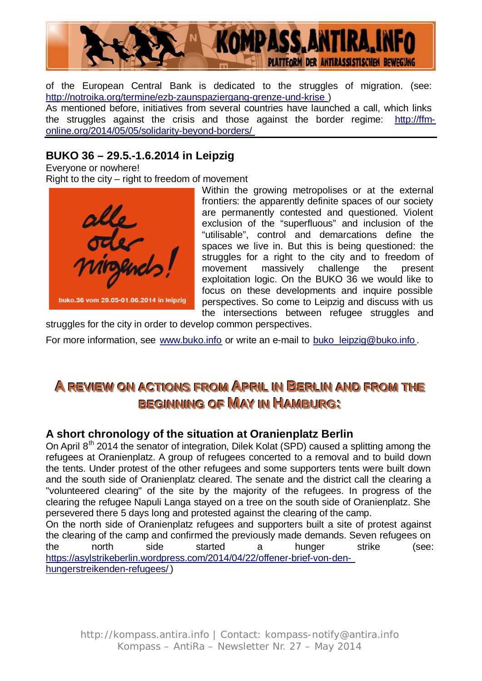

of the European Central Bank is dedicated to the struggles of migration. (see: http://notroika.org/termine/ezb-zaunspaziergang-grenze-und-krise )

As mentioned before, initiatives from several countries have launched a call, which links the struggles against the crisis and those against the border regime: http://ffmonline.org/2014/05/05/solidarity-beyond-borders/

#### **BUKO 36 – 29.5.-1.6.2014 in Leipzig**

Everyone or nowhere! Right to the city – right to freedom of movement



Within the growing metropolises or at the external frontiers: the apparently definite spaces of our society are permanently contested and questioned. Violent exclusion of the "superfluous" and inclusion of the "utilisable", control and demarcations define the spaces we live in. But this is being questioned: the struggles for a right to the city and to freedom of movement massively challenge the present exploitation logic. On the BUKO 36 we would like to focus on these developments and inquire possible perspectives. So come to Leipzig and discuss with us the intersections between refugee struggles and

struggles for the city in order to develop common perspectives.

For more information, see www.buko.info or write an e-mail to buko\_leipzig@buko.info.

# **A REVIEW ON ACTIONS FROM APRIL IN BERLIN AND FROM THE BEGINNING OF MAY IN HAMBURG:**

#### **A short chronology of the situation at Oranienplatz Berlin**

On April 8<sup>th</sup> 2014 the senator of integration, Dilek Kolat (SPD) caused a splitting among the refugees at Oranienplatz. A group of refugees concerted to a removal and to build down the tents. Under protest of the other refugees and some supporters tents were built down and the south side of Oranienplatz cleared. The senate and the district call the clearing a "volunteered clearing" of the site by the majority of the refugees. In progress of the clearing the refugee Napuli Langa stayed on a tree on the south side of Oranienplatz. She persevered there 5 days long and protested against the clearing of the camp.

On the north side of Oranienplatz refugees and supporters built a site of protest against the clearing of the camp and confirmed the previously made demands. Seven refugees on the north side started a hunger strike (see: https://asylstrikeberlin.wordpress.com/2014/04/22/offener-brief-von-denhungerstreikenden-refugees/ )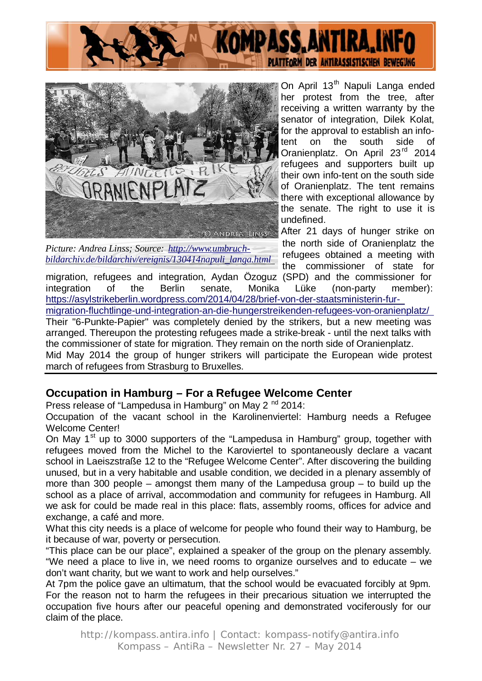



*Picture: Andrea Linss; Source: http://www.umbruchbildarchiv.de/bildarchiv/ereignis/130414napuli\_langa.html*

On April 13<sup>th</sup> Napuli Langa ended her protest from the tree, after receiving a written warranty by the senator of integration, Dilek Kolat, for the approval to establish an infotent on the south side of Oranienplatz. On April 23rd 2014 refugees and supporters built up their own info-tent on the south side of Oranienplatz. The tent remains there with exceptional allowance by the senate. The right to use it is undefined.

After 21 days of hunger strike on the north side of Oranienplatz the refugees obtained a meeting with the commissioner of state for

migration, refugees and integration, Aydan Özoguz (SPD) and the commissioner for integration of the Berlin senate, Monika Lüke (non-party member): https://asylstrikeberlin.wordpress.com/2014/04/28/brief-von-der-staatsministerin-fur-

migration-fluchtlinge-und-integration-an-die-hungerstreikenden-refugees-von-oranienplatz/ Their "6-Punkte-Papier" was completely denied by the strikers, but a new meeting was arranged. Thereupon the protesting refugees made a strike-break - until the next talks with the commissioner of state for migration. They remain on the north side of Oranienplatz. Mid May 2014 the group of hunger strikers will participate the European wide protest march of refugees from Strasburg to Bruxelles.

#### **Occupation in Hamburg – For a Refugee Welcome Center**

Press release of "Lampedusa in Hamburg" on May 2<sup>nd</sup> 2014:

Occupation of the vacant school in the Karolinenviertel: Hamburg needs a Refugee Welcome Center!

On May  $1<sup>st</sup>$  up to 3000 supporters of the "Lampedusa in Hamburg" group, together with refugees moved from the Michel to the Karoviertel to spontaneously declare a vacant school in Laeiszstraße 12 to the "Refugee Welcome Center". After discovering the building unused, but in a very habitable and usable condition, we decided in a plenary assembly of more than 300 people – amongst them many of the Lampedusa group – to build up the school as a place of arrival, accommodation and community for refugees in Hamburg. All we ask for could be made real in this place: flats, assembly rooms, offices for advice and exchange, a café and more.

What this city needs is a place of welcome for people who found their way to Hamburg, be it because of war, poverty or persecution.

"This place can be our place", explained a speaker of the group on the plenary assembly. "We need a place to live in, we need rooms to organize ourselves and to educate – we don't want charity, but we want to work and help ourselves."

At 7pm the police gave an ultimatum, that the school would be evacuated forcibly at 9pm. For the reason not to harm the refugees in their precarious situation we interrupted the occupation five hours after our peaceful opening and demonstrated vociferously for our claim of the place.